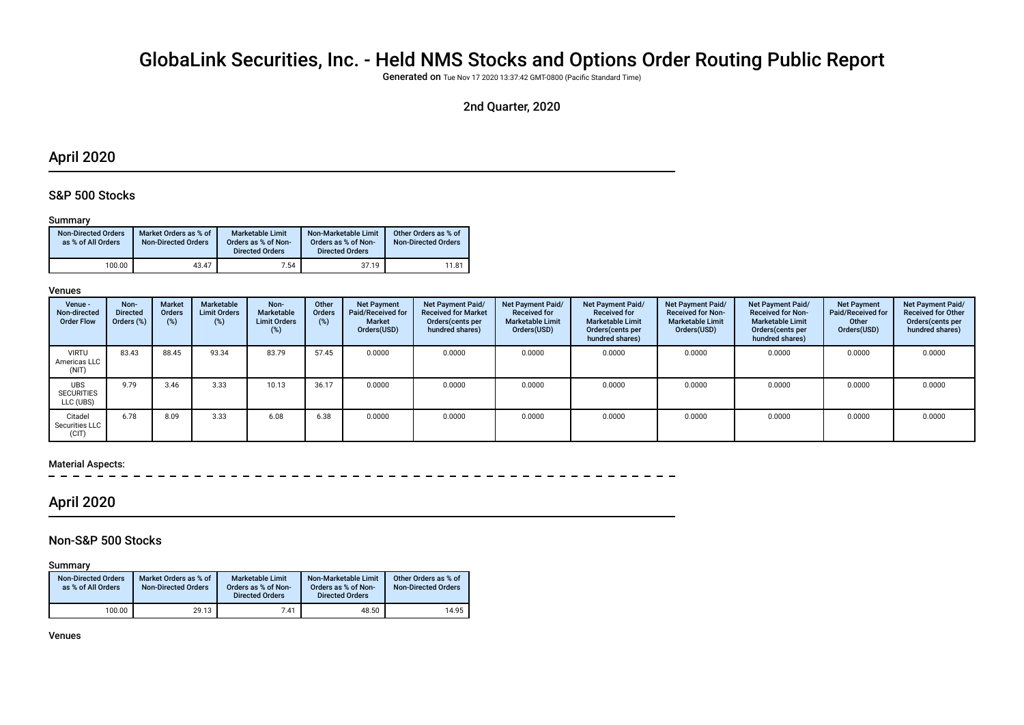# GlobaLink Securities, Inc. - Held NMS Stocks and Options Order Routing Public Report

Generated on Tue Nov 17 2020 13:37:42 GMT-0800 (Pacifc Standard Time)

### 2nd Quarter, 2020

### April 2020

### S&P 500 Stocks

#### Summary

| <b>Non-Directed Orders</b><br>as % of All Orders | Market Orders as % of<br><b>Non-Directed Orders</b> | Marketable Limit<br>Orders as % of Non-<br><b>Directed Orders</b> | Non-Marketable Limit<br>Orders as % of Non-<br><b>Directed Orders</b> | Other Orders as % of<br><b>Non-Directed Orders</b> |
|--------------------------------------------------|-----------------------------------------------------|-------------------------------------------------------------------|-----------------------------------------------------------------------|----------------------------------------------------|
| 100.00                                           | 43.47                                               | 7.54                                                              | 37.19                                                                 | 11.81                                              |

#### Venues

| Venue -<br>Non-directed<br><b>Order Flow</b> | Non-<br><b>Directed</b><br>Orders (%) | <b>Market</b><br><b>Orders</b><br>(%) | Marketable<br><b>Limit Orders</b><br>$(\%)$ | Non-<br><b>Marketable</b><br><b>Limit Orders</b><br>(%) | Other<br><b>Orders</b><br>$(\%)$ | <b>Net Payment</b><br>Paid/Received for<br>Market<br>Orders(USD) | <b>Net Payment Paid/</b><br><b>Received for Market</b><br>Orders(cents per<br>hundred shares) | Net Payment Paid/<br><b>Received for</b><br><b>Marketable Limit</b><br>Orders(USD) | <b>Net Payment Paid/</b><br><b>Received for</b><br><b>Marketable Limit</b><br>Orders (cents per<br>hundred shares) | <b>Net Payment Paid/</b><br><b>Received for Non-</b><br><b>Marketable Limit</b><br>Orders(USD) | <b>Net Payment Paid/</b><br><b>Received for Non-</b><br><b>Marketable Limit</b><br>Orders(cents per<br>hundred shares) | <b>Net Payment</b><br>Paid/Received for<br>Other<br>Orders(USD) | Net Payment Paid/<br><b>Received for Other</b><br>Orders (cents per<br>hundred shares) |
|----------------------------------------------|---------------------------------------|---------------------------------------|---------------------------------------------|---------------------------------------------------------|----------------------------------|------------------------------------------------------------------|-----------------------------------------------------------------------------------------------|------------------------------------------------------------------------------------|--------------------------------------------------------------------------------------------------------------------|------------------------------------------------------------------------------------------------|------------------------------------------------------------------------------------------------------------------------|-----------------------------------------------------------------|----------------------------------------------------------------------------------------|
| <b>VIRTU</b><br>Americas LLC<br>(NIT)        | 83.43                                 | 88.45                                 | 93.34                                       | 83.79                                                   | 57.45                            | 0.0000                                                           | 0.0000                                                                                        | 0.0000                                                                             | 0.0000                                                                                                             | 0.0000                                                                                         | 0.0000                                                                                                                 | 0.0000                                                          | 0.0000                                                                                 |
| <b>UBS</b><br><b>SECURITIES</b><br>LLC (UBS) | 9.79                                  | 3.46                                  | 3.33                                        | 10.13                                                   | 36.17                            | 0.0000                                                           | 0.0000                                                                                        | 0.0000                                                                             | 0.0000                                                                                                             | 0.0000                                                                                         | 0.0000                                                                                                                 | 0.0000                                                          | 0.0000                                                                                 |
| Citadel<br>Securities LLC<br>(CIT)           | 6.78                                  | 8.09                                  | 3.33                                        | 6.08                                                    | 6.38                             | 0.0000                                                           | 0.0000                                                                                        | 0.0000                                                                             | 0.0000                                                                                                             | 0.0000                                                                                         | 0.0000                                                                                                                 | 0.0000                                                          | 0.0000                                                                                 |

#### Material Aspects:

## April 2020

#### Non-S&P 500 Stocks

Summary

| <b>Non-Directed Orders</b><br>as % of All Orders | Market Orders as % of<br><b>Non-Directed Orders</b> | <b>Marketable Limit</b><br>Orders as % of Non-<br><b>Directed Orders</b> | Non-Marketable Limit<br>Orders as % of Non-<br><b>Directed Orders</b> | Other Orders as % of<br><b>Non-Directed Orders</b> |
|--------------------------------------------------|-----------------------------------------------------|--------------------------------------------------------------------------|-----------------------------------------------------------------------|----------------------------------------------------|
| 100.00                                           | 29.13                                               | 7.41                                                                     | 48.50                                                                 | 14.95                                              |

Venues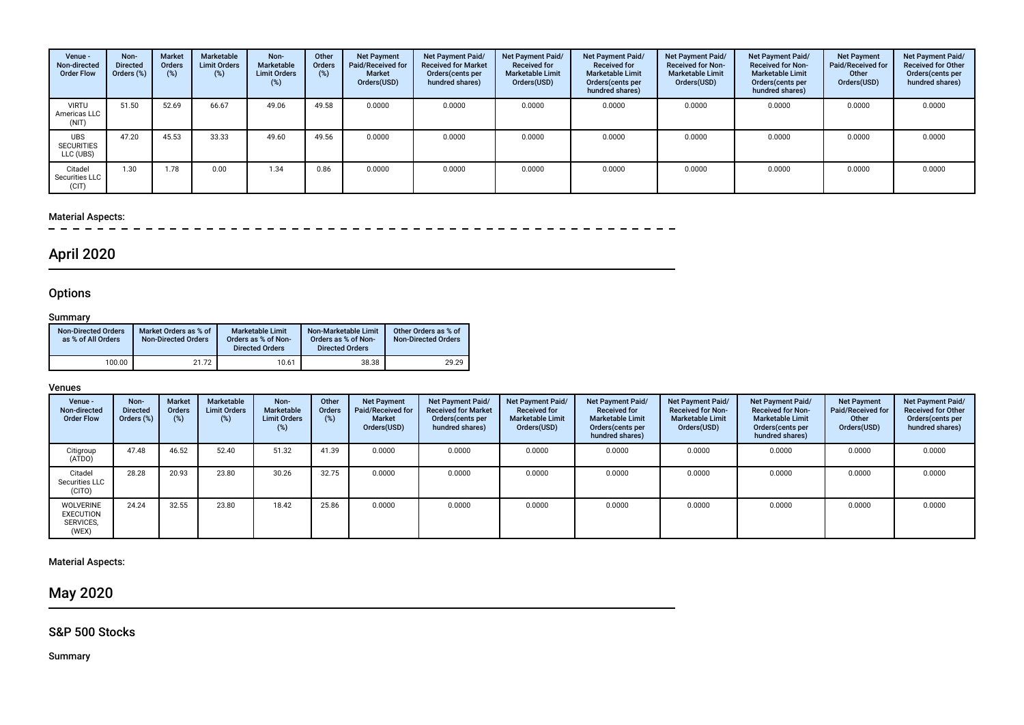| Venue -<br>Non-directed<br><b>Order Flow</b> | Non-<br><b>Directed</b><br>Orders (%) | <b>Market</b><br>Orders<br>(%) | Marketable<br><b>Limit Orders</b><br>(%) | Non-<br>Marketable<br><b>Limit Orders</b><br>$(\%)$ | Other<br>Orders<br>(%) | Net Payment<br>Paid/Received for<br>Market<br>Orders(USD) | <b>Net Payment Paid/</b><br><b>Received for Market</b><br>Orders(cents per<br>hundred shares) | Net Payment Paid/<br><b>Received for</b><br><b>Marketable Limit</b><br>Orders(USD) | Net Payment Paid/<br><b>Received for</b><br><b>Marketable Limit</b><br>Orders(cents per<br>hundred shares) | Net Payment Paid/<br><b>Received for Non-</b><br><b>Marketable Limit</b><br>Orders(USD) | Net Payment Paid/<br><b>Received for Non-</b><br><b>Marketable Limit</b><br>Orders(cents per<br>hundred shares) | <b>Net Payment</b><br>Paid/Received for<br>Other<br>Orders(USD) | Net Payment Paid/<br><b>Received for Other</b><br>Orders(cents per<br>hundred shares) |
|----------------------------------------------|---------------------------------------|--------------------------------|------------------------------------------|-----------------------------------------------------|------------------------|-----------------------------------------------------------|-----------------------------------------------------------------------------------------------|------------------------------------------------------------------------------------|------------------------------------------------------------------------------------------------------------|-----------------------------------------------------------------------------------------|-----------------------------------------------------------------------------------------------------------------|-----------------------------------------------------------------|---------------------------------------------------------------------------------------|
| <b>VIRTU</b><br>Americas LLC<br>(NIT)        | 51.50                                 | 52.69                          | 66.67                                    | 49.06                                               | 49.58                  | 0.0000                                                    | 0.0000                                                                                        | 0.0000                                                                             | 0.0000                                                                                                     | 0.0000                                                                                  | 0.0000                                                                                                          | 0.0000                                                          | 0.0000                                                                                |
| <b>UBS</b><br><b>SECURITIES</b><br>LLC (UBS) | 47.20                                 | 45.53                          | 33.33                                    | 49.60                                               | 49.56                  | 0.0000                                                    | 0.0000                                                                                        | 0.0000                                                                             | 0.0000                                                                                                     | 0.0000                                                                                  | 0.0000                                                                                                          | 0.0000                                                          | 0.0000                                                                                |
| Citadel<br>Securities LLC<br>(CIT)           | 1.30                                  | .78                            | 0.00                                     | 1.34                                                | 0.86                   | 0.0000                                                    | 0.0000                                                                                        | 0.0000                                                                             | 0.0000                                                                                                     | 0.0000                                                                                  | 0.0000                                                                                                          | 0.0000                                                          | 0.0000                                                                                |

# Material Aspects:<br> $- - - - -$

# April 2020

## **Options**

#### **Summary**

| <b>Non-Directed Orders</b><br>as % of All Orders | Market Orders as % of<br><b>Non-Directed Orders</b> | <b>Marketable Limit</b><br>Orders as % of Non-<br><b>Directed Orders</b> | Non-Marketable Limit<br>Orders as % of Non-<br><b>Directed Orders</b> | Other Orders as % of<br><b>Non-Directed Orders</b> |
|--------------------------------------------------|-----------------------------------------------------|--------------------------------------------------------------------------|-----------------------------------------------------------------------|----------------------------------------------------|
| 100.00                                           | 21.72                                               | 10.61                                                                    | 38.38                                                                 | 29.29                                              |

#### Venues

| Venue -<br>Non-directed<br><b>Order Flow</b>               | Non-<br><b>Directed</b><br>Orders (%) | <b>Market</b><br><b>Orders</b><br>$(\%)$ | Marketable<br><b>Limit Orders</b><br>(%) | Non-<br>Marketable<br><b>Limit Orders</b><br>(%) | Other<br>Orders<br>(%) | <b>Net Payment</b><br>Paid/Received for<br>Market<br>Orders(USD) | <b>Net Payment Paid/</b><br><b>Received for Market</b><br>Orders (cents per<br>hundred shares) | <b>Net Payment Paid/</b><br><b>Received for</b><br><b>Marketable Limit</b><br>Orders(USD) | Net Payment Paid/<br><b>Received for</b><br><b>Marketable Limit</b><br>Orders (cents per<br>hundred shares) | <b>Net Payment Paid/</b><br><b>Received for Non-</b><br><b>Marketable Limit</b><br>Orders(USD) | Net Payment Paid/<br><b>Received for Non-</b><br><b>Marketable Limit</b><br>Orders (cents per<br>hundred shares) | <b>Net Payment</b><br>Paid/Received for<br>Other<br>Orders(USD) | Net Payment Paid/<br><b>Received for Other</b><br>Orders(cents per<br>hundred shares) |
|------------------------------------------------------------|---------------------------------------|------------------------------------------|------------------------------------------|--------------------------------------------------|------------------------|------------------------------------------------------------------|------------------------------------------------------------------------------------------------|-------------------------------------------------------------------------------------------|-------------------------------------------------------------------------------------------------------------|------------------------------------------------------------------------------------------------|------------------------------------------------------------------------------------------------------------------|-----------------------------------------------------------------|---------------------------------------------------------------------------------------|
| Citigroup<br>(ATDO)                                        | 47.48                                 | 46.52                                    | 52.40                                    | 51.32                                            | 41.39                  | 0.0000                                                           | 0.0000                                                                                         | 0.0000                                                                                    | 0.0000                                                                                                      | 0.0000                                                                                         | 0.0000                                                                                                           | 0.0000                                                          | 0.0000                                                                                |
| Citadel<br>Securities LLC<br>(CITO)                        | 28.28                                 | 20.93                                    | 23.80                                    | 30.26                                            | 32.75                  | 0.0000                                                           | 0.0000                                                                                         | 0.0000                                                                                    | 0.0000                                                                                                      | 0.0000                                                                                         | 0.0000                                                                                                           | 0.0000                                                          | 0.0000                                                                                |
| <b>WOLVERINE</b><br><b>EXECUTION</b><br>SERVICES,<br>(WEX) | 24.24                                 | 32.55                                    | 23.80                                    | 18.42                                            | 25.86                  | 0.0000                                                           | 0.0000                                                                                         | 0.0000                                                                                    | 0.0000                                                                                                      | 0.0000                                                                                         | 0.0000                                                                                                           | 0.0000                                                          | 0.0000                                                                                |

### Material Aspects:

May 2020

### S&P 500 Stocks

Summary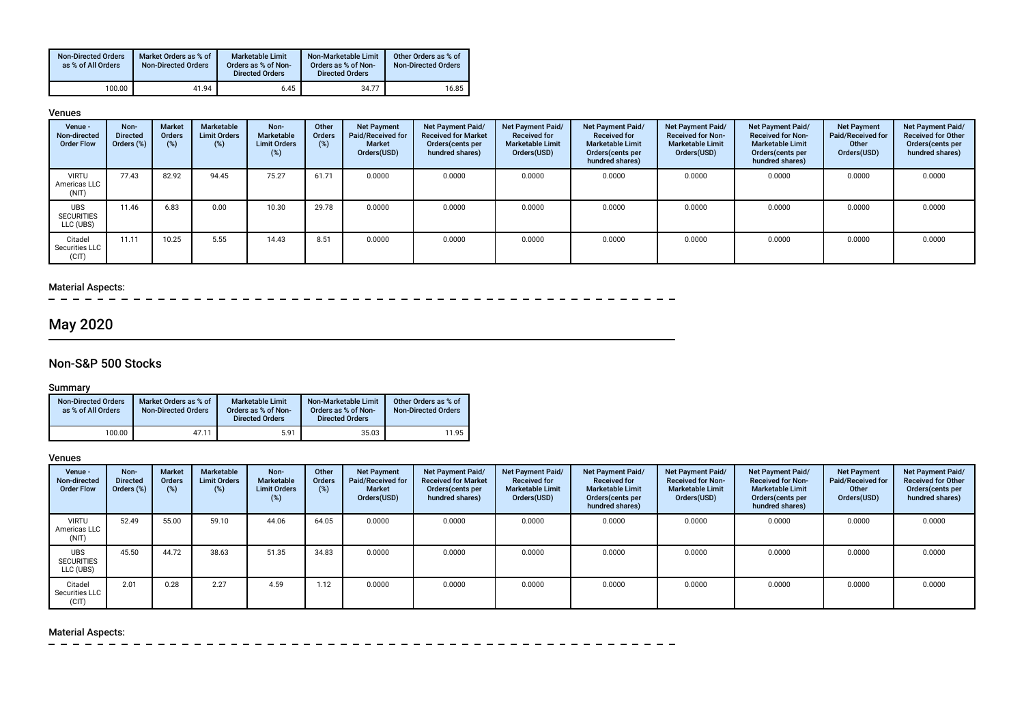| <b>Non-Directed Orders</b><br>as % of All Orders | Market Orders as % of<br><b>Non-Directed Orders</b> | Marketable Limit<br>Orders as % of Non-<br><b>Directed Orders</b> | Non-Marketable Limit<br>Orders as % of Non-<br><b>Directed Orders</b> | Other Orders as % of<br><b>Non-Directed Orders</b> |
|--------------------------------------------------|-----------------------------------------------------|-------------------------------------------------------------------|-----------------------------------------------------------------------|----------------------------------------------------|
| 100.00                                           | 41.94                                               | 6.45                                                              | 34.77                                                                 | 16.85                                              |

#### Venues

| Venue -<br>Non-directed<br><b>Order Flow</b> | Non-<br><b>Directed</b><br>Orders (%) | Market<br><b>Orders</b><br>(%) | Marketable<br><b>Limit Orders</b><br>(%) | Non-<br>Marketable<br><b>Limit Orders</b><br>(%) | Other<br>Orders<br>(%) | <b>Net Payment</b><br>Paid/Received for<br><b>Market</b><br>Orders(USD) | <b>Net Payment Paid/</b><br><b>Received for Market</b><br>Orders (cents per<br>hundred shares) | Net Payment Paid/<br><b>Received for</b><br><b>Marketable Limit</b><br>Orders(USD) | <b>Net Payment Paid/</b><br><b>Received for</b><br><b>Marketable Limit</b><br>Orders(cents per<br>hundred shares) | <b>Net Payment Paid/</b><br><b>Received for Non-</b><br><b>Marketable Limit</b><br>Orders(USD) | Net Payment Paid/<br><b>Received for Non-</b><br><b>Marketable Limit</b><br>Orders(cents per<br>hundred shares) | <b>Net Payment</b><br>Paid/Received for<br>Other<br>Orders(USD) | <b>Net Payment Paid/</b><br><b>Received for Other</b><br>Orders (cents per<br>hundred shares) |
|----------------------------------------------|---------------------------------------|--------------------------------|------------------------------------------|--------------------------------------------------|------------------------|-------------------------------------------------------------------------|------------------------------------------------------------------------------------------------|------------------------------------------------------------------------------------|-------------------------------------------------------------------------------------------------------------------|------------------------------------------------------------------------------------------------|-----------------------------------------------------------------------------------------------------------------|-----------------------------------------------------------------|-----------------------------------------------------------------------------------------------|
| <b>VIRTU</b><br>Americas LLC<br>(NIT)        | 77.43                                 | 82.92                          | 94.45                                    | 75.27                                            | 61.71                  | 0.0000                                                                  | 0.0000                                                                                         | 0.0000                                                                             | 0.0000                                                                                                            | 0.0000                                                                                         | 0.0000                                                                                                          | 0.0000                                                          | 0.0000                                                                                        |
| <b>UBS</b><br><b>SECURITIES</b><br>LLC (UBS) | 11.46                                 | 6.83                           | 0.00                                     | 10.30                                            | 29.78                  | 0.0000                                                                  | 0.0000                                                                                         | 0.0000                                                                             | 0.0000                                                                                                            | 0.0000                                                                                         | 0.0000                                                                                                          | 0.0000                                                          | 0.0000                                                                                        |
| Citadel<br>Securities LLC<br>(CIT)           | 11.11                                 | 10.25                          | 5.55                                     | 14.43                                            | 8.51                   | 0.0000                                                                  | 0.0000                                                                                         | 0.0000                                                                             | 0.0000                                                                                                            | 0.0000                                                                                         | 0.0000                                                                                                          | 0.0000                                                          | 0.0000                                                                                        |

#### Material Aspects:

 $\equiv$  $\sim$   $-$ 

# May 2020

### Non-S&P 500 Stocks

#### Summary

| <b>Non-Directed Orders</b><br>as % of All Orders | Market Orders as % of<br><b>Non-Directed Orders</b> | <b>Marketable Limit</b><br>Orders as % of Non-<br><b>Directed Orders</b> | Non-Marketable Limit<br>Orders as % of Non-<br><b>Directed Orders</b> | Other Orders as % of<br><b>Non-Directed Orders</b> |
|--------------------------------------------------|-----------------------------------------------------|--------------------------------------------------------------------------|-----------------------------------------------------------------------|----------------------------------------------------|
| 100.00                                           | 47.11                                               | 5.91                                                                     | 35.03                                                                 | 11.95                                              |

#### Venues

| Venue -<br>Non-directed<br><b>Order Flow</b> | Non-<br><b>Directed</b><br>Orders (%) | <b>Market</b><br><b>Orders</b><br>(%) | Marketable<br><b>Limit Orders</b><br>(%) | Non-<br>Marketable<br><b>Limit Orders</b><br>$(\%)$ | Other<br><b>Orders</b><br>(%) | <b>Net Payment</b><br>Paid/Received for<br>Market<br>Orders(USD) | <b>Net Payment Paid/</b><br><b>Received for Market</b><br>Orders (cents per<br>hundred shares) | <b>Net Payment Paid/</b><br><b>Received for</b><br><b>Marketable Limit</b><br>Orders(USD) | Net Payment Paid/<br><b>Received for</b><br><b>Marketable Limit</b><br>Orders(cents per<br>hundred shares) | Net Payment Paid/<br><b>Received for Non-</b><br><b>Marketable Limit</b><br>Orders(USD) | Net Payment Paid/<br><b>Received for Non-</b><br><b>Marketable Limit</b><br>Orders(cents per<br>hundred shares) | <b>Net Payment</b><br>Paid/Received for<br>Other<br>Orders(USD) | <b>Net Payment Paid/</b><br><b>Received for Other</b><br>Orders (cents per<br>hundred shares) |
|----------------------------------------------|---------------------------------------|---------------------------------------|------------------------------------------|-----------------------------------------------------|-------------------------------|------------------------------------------------------------------|------------------------------------------------------------------------------------------------|-------------------------------------------------------------------------------------------|------------------------------------------------------------------------------------------------------------|-----------------------------------------------------------------------------------------|-----------------------------------------------------------------------------------------------------------------|-----------------------------------------------------------------|-----------------------------------------------------------------------------------------------|
| <b>VIRTU</b><br>Americas LLC<br>(NIT)        | 52.49                                 | 55.00                                 | 59.10                                    | 44.06                                               | 64.05                         | 0.0000                                                           | 0.0000                                                                                         | 0.0000                                                                                    | 0.0000                                                                                                     | 0.0000                                                                                  | 0.0000                                                                                                          | 0.0000                                                          | 0.0000                                                                                        |
| <b>UBS</b><br><b>SECURITIES</b><br>LLC (UBS) | 45.50                                 | 44.72                                 | 38.63                                    | 51.35                                               | 34.83                         | 0.0000                                                           | 0.0000                                                                                         | 0.0000                                                                                    | 0.0000                                                                                                     | 0.0000                                                                                  | 0.0000                                                                                                          | 0.0000                                                          | 0.0000                                                                                        |
| Citadel<br>Securities LLC<br>(CIT)           | 2.01                                  | 0.28                                  | 2.27                                     | 4.59                                                | 1.12                          | 0.0000                                                           | 0.0000                                                                                         | 0.0000                                                                                    | 0.0000                                                                                                     | 0.0000                                                                                  | 0.0000                                                                                                          | 0.0000                                                          | 0.0000                                                                                        |

### Material Aspects:

 $\frac{1}{2}$  $\sim$  $\sim$  $\sim$  $\sim$  $\overline{\phantom{0}}$  $\sim$  $-$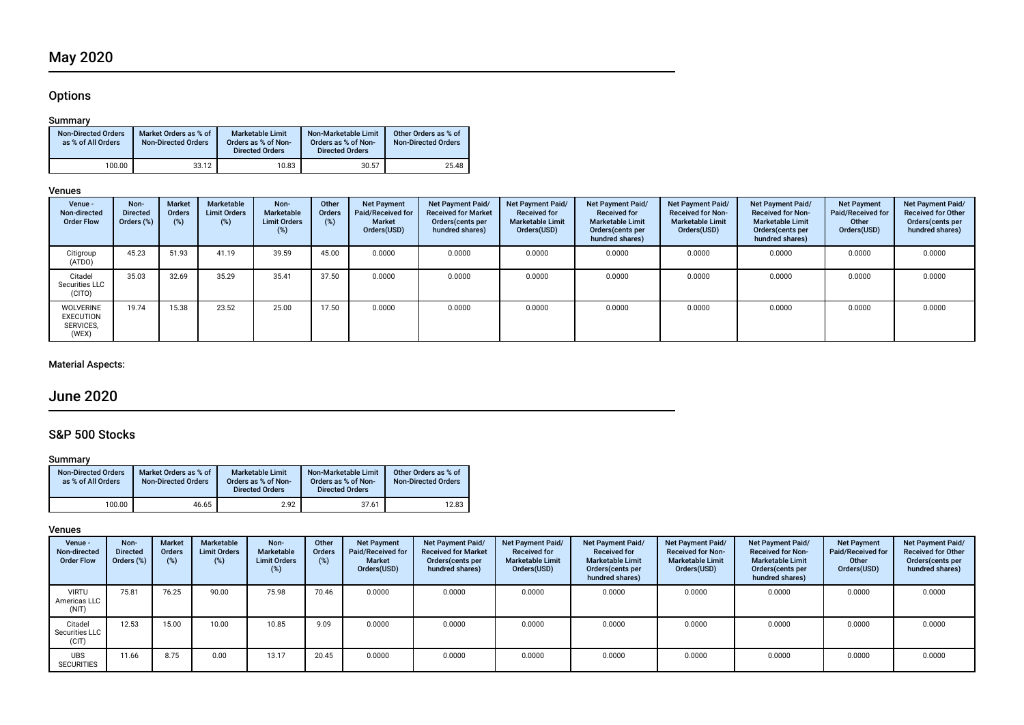### **Options**

#### Summary

| <b>Non-Directed Orders</b><br>as % of All Orders | Market Orders as % of<br><b>Non-Directed Orders</b> | Marketable Limit<br>Orders as % of Non-<br><b>Directed Orders</b> | Non-Marketable Limit<br>Orders as % of Non-<br><b>Directed Orders</b> | Other Orders as % of<br><b>Non-Directed Orders</b> |
|--------------------------------------------------|-----------------------------------------------------|-------------------------------------------------------------------|-----------------------------------------------------------------------|----------------------------------------------------|
| 100.00                                           | 33.12                                               | 10.83                                                             | 30.57                                                                 | 25.48                                              |

#### Venues

| Venue -<br>Non-directed<br><b>Order Flow</b>        | Non-<br><b>Directed</b><br>Orders (%) | <b>Market</b><br><b>Orders</b><br>(%) | Marketable<br><b>Limit Orders</b><br>(%) | Non-<br><b>Marketable</b><br><b>Limit Orders</b><br>(%) | Other<br>Orders | <b>Net Payment</b><br>Paid/Received for<br>Market<br>Orders(USD) | Net Payment Paid/<br><b>Received for Market</b><br>Orders(cents per<br>hundred shares) | <b>Net Payment Paid/</b><br><b>Received for</b><br><b>Marketable Limit</b><br>Orders(USD) | Net Payment Paid/<br><b>Received for</b><br><b>Marketable Limit</b><br>Orders(cents per<br>hundred shares) | Net Payment Paid/<br><b>Received for Non-</b><br><b>Marketable Limit</b><br>Orders(USD) | Net Payment Paid/<br><b>Received for Non-</b><br><b>Marketable Limit</b><br>Orders (cents per<br>hundred shares) | <b>Net Payment</b><br><b>Paid/Received for</b><br>Other<br>Orders(USD) | Net Payment Paid/<br><b>Received for Other</b><br>Orders(cents per<br>hundred shares) |
|-----------------------------------------------------|---------------------------------------|---------------------------------------|------------------------------------------|---------------------------------------------------------|-----------------|------------------------------------------------------------------|----------------------------------------------------------------------------------------|-------------------------------------------------------------------------------------------|------------------------------------------------------------------------------------------------------------|-----------------------------------------------------------------------------------------|------------------------------------------------------------------------------------------------------------------|------------------------------------------------------------------------|---------------------------------------------------------------------------------------|
| Citigroup<br>(ATDO)                                 | 45.23                                 | 51.93                                 | 41.19                                    | 39.59                                                   | 45.00           | 0.0000                                                           | 0.0000                                                                                 | 0.0000                                                                                    | 0.0000                                                                                                     | 0.0000                                                                                  | 0.0000                                                                                                           | 0.0000                                                                 | 0.0000                                                                                |
| Citadel<br>Securities LLC<br>(CITO)                 | 35.03                                 | 32.69                                 | 35.29                                    | 35.41                                                   | 37.50           | 0.0000                                                           | 0.0000                                                                                 | 0.0000                                                                                    | 0.0000                                                                                                     | 0.0000                                                                                  | 0.0000                                                                                                           | 0.0000                                                                 | 0.0000                                                                                |
| WOLVERINE<br><b>EXECUTION</b><br>SERVICES.<br>(WEX) | 19.74                                 | 15.38                                 | 23.52                                    | 25.00                                                   | 17.50           | 0.0000                                                           | 0.0000                                                                                 | 0.0000                                                                                    | 0.0000                                                                                                     | 0.0000                                                                                  | 0.0000                                                                                                           | 0.0000                                                                 | 0.0000                                                                                |

### Material Aspects:

## June 2020

### S&P 500 Stocks

#### Summary

| <b>Non-Directed Orders</b><br>as % of All Orders | Market Orders as % of<br><b>Non-Directed Orders</b> | <b>Marketable Limit</b><br>Orders as % of Non-<br><b>Directed Orders</b> | Non-Marketable Limit<br>Orders as % of Non-<br><b>Directed Orders</b> | Other Orders as % of<br><b>Non-Directed Orders</b> |
|--------------------------------------------------|-----------------------------------------------------|--------------------------------------------------------------------------|-----------------------------------------------------------------------|----------------------------------------------------|
| 100.00                                           | 46.65                                               | 2.92                                                                     | 37.61                                                                 | 12.83                                              |

#### Venues

| Venue -<br>Non-directed<br><b>Order Flow</b> | Non-<br><b>Directed</b><br>Orders (%) | <b>Market</b><br><b>Orders</b><br>$(\%)$ | Marketable<br><b>Limit Orders</b><br>(%) | Non-<br>Marketable<br><b>Limit Orders</b><br>$(\%)$ | Other<br><b>Orders</b><br>(%) | <b>Net Payment</b><br>Paid/Received for<br><b>Market</b><br>Orders(USD) | Net Payment Paid/<br><b>Received for Market</b><br>Orders (cents per<br>hundred shares) | <b>Net Payment Paid/</b><br><b>Received for</b><br><b>Marketable Limit</b><br>Orders(USD) | Net Payment Paid/<br><b>Received for</b><br><b>Marketable Limit</b><br>Orders(cents per<br>hundred shares) | Net Payment Paid/<br><b>Received for Non-</b><br><b>Marketable Limit</b><br>Orders(USD) | Net Payment Paid/<br><b>Received for Non-</b><br><b>Marketable Limit</b><br>Orders(cents per<br>hundred shares) | <b>Net Payment</b><br>Paid/Received for<br>Other<br>Orders(USD) | Net Payment Paid/<br><b>Received for Other</b><br>Orders(cents per<br>hundred shares) |
|----------------------------------------------|---------------------------------------|------------------------------------------|------------------------------------------|-----------------------------------------------------|-------------------------------|-------------------------------------------------------------------------|-----------------------------------------------------------------------------------------|-------------------------------------------------------------------------------------------|------------------------------------------------------------------------------------------------------------|-----------------------------------------------------------------------------------------|-----------------------------------------------------------------------------------------------------------------|-----------------------------------------------------------------|---------------------------------------------------------------------------------------|
| <b>VIRTU</b><br>Americas LLC<br>(NIT)        | 75.81                                 | 76.25                                    | 90.00                                    | 75.98                                               | 70.46                         | 0.0000                                                                  | 0.0000                                                                                  | 0.0000                                                                                    | 0.0000                                                                                                     | 0.0000                                                                                  | 0.0000                                                                                                          | 0.0000                                                          | 0.0000                                                                                |
| Citadel<br>Securities LLC<br>(CIT)           | 12.53                                 | 15.00                                    | 10.00                                    | 10.85                                               | 9.09                          | 0.0000                                                                  | 0.0000                                                                                  | 0.0000                                                                                    | 0.0000                                                                                                     | 0.0000                                                                                  | 0.0000                                                                                                          | 0.0000                                                          | 0.0000                                                                                |
| <b>UBS</b><br><b>SECURITIES</b>              | 11.66                                 | 8.75                                     | 0.00                                     | 13.17                                               | 20.45                         | 0.0000                                                                  | 0.0000                                                                                  | 0.0000                                                                                    | 0.0000                                                                                                     | 0.0000                                                                                  | 0.0000                                                                                                          | 0.0000                                                          | 0.0000                                                                                |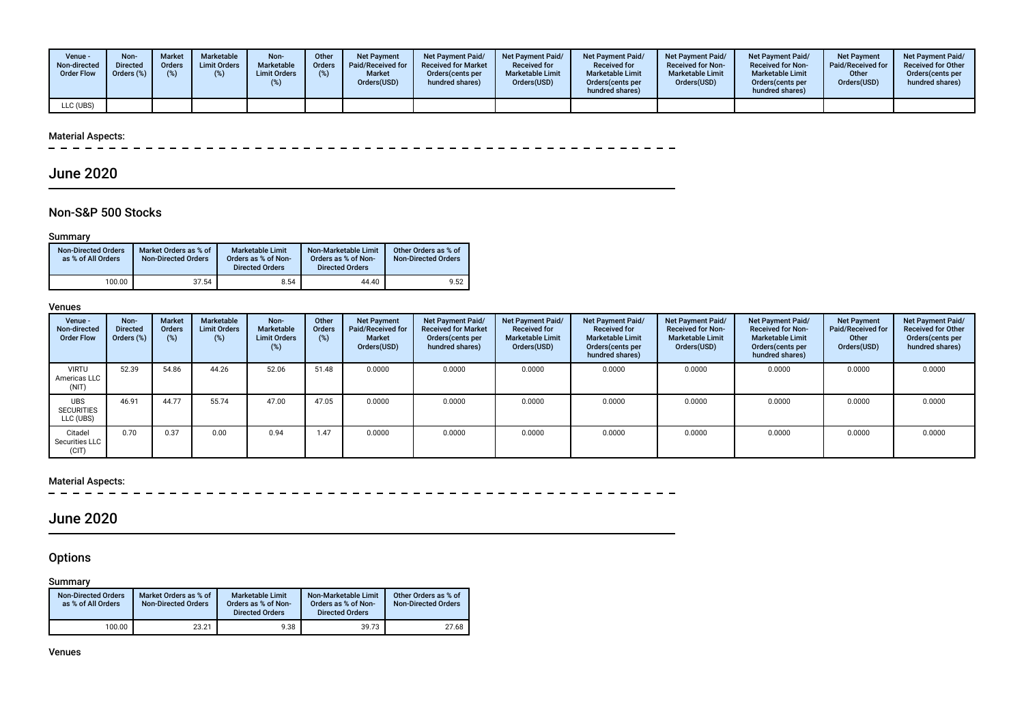| Venue -<br>Non-directed<br><b>Order Flow</b> | Non-<br><b>Directed</b><br>Orders (%) | <b>Market</b><br><b>Orders</b><br>(9) | Marketable<br><b>Limit Orders</b><br>(%) | Non-<br><b>Marketable</b><br><b>Limit Orders</b> | Other<br><b>Orders</b> | <b>Net Payment</b><br>Paid/Received for<br><b>Market</b><br>Orders(USD) | <b>Net Payment Paid/</b><br><b>Received for Market</b><br>Orders (cents per<br>hundred shares) | <b>Net Payment Paid/</b><br><b>Received for</b><br><b>Marketable Limit</b><br>Orders(USD) | <b>Net Payment Paid/</b><br><b>Received for</b><br><b>Marketable Limit</b><br>Orders(cents per<br>hundred shares) | <b>Net Payment Paid/</b><br><b>Received for Non-</b><br><b>Marketable Limit</b><br>Orders(USD) | <b>Net Payment Paid/</b><br><b>Received for Non-</b><br><b>Marketable Limit</b><br>Orders (cents per<br>hundred shares) | Net Payment<br><b>Paid/Received for</b><br>Other<br>Orders(USD) | <b>Net Payment Paid/</b><br><b>Received for Other</b><br>Orders(cents per<br>hundred shares) |
|----------------------------------------------|---------------------------------------|---------------------------------------|------------------------------------------|--------------------------------------------------|------------------------|-------------------------------------------------------------------------|------------------------------------------------------------------------------------------------|-------------------------------------------------------------------------------------------|-------------------------------------------------------------------------------------------------------------------|------------------------------------------------------------------------------------------------|-------------------------------------------------------------------------------------------------------------------------|-----------------------------------------------------------------|----------------------------------------------------------------------------------------------|
| LLC (UBS)                                    |                                       |                                       |                                          |                                                  |                        |                                                                         |                                                                                                |                                                                                           |                                                                                                                   |                                                                                                |                                                                                                                         |                                                                 |                                                                                              |

#### Material Aspects:

 $\sim$ 

## June 2020

### Non-S&P 500 Stocks

#### Summary

| <b>Non-Directed Orders</b><br>as % of All Orders | Market Orders as % of<br><b>Non-Directed Orders</b> | <b>Marketable Limit</b><br>Orders as % of Non-<br><b>Directed Orders</b> | Non-Marketable Limit<br>Orders as % of Non-<br><b>Directed Orders</b> | Other Orders as % of<br><b>Non-Directed Orders</b> |
|--------------------------------------------------|-----------------------------------------------------|--------------------------------------------------------------------------|-----------------------------------------------------------------------|----------------------------------------------------|
| 100.00                                           | 37.54                                               | 8.54                                                                     | 44.40                                                                 | 9.52                                               |

#### Venues

| Venue -<br>Non-directed<br><b>Order Flow</b> | Non-<br><b>Directed</b><br>Orders (%) | <b>Market</b><br><b>Orders</b><br>$(\%)$ | Marketable<br><b>Limit Orders</b><br>(%) | Non-<br>Marketable<br><b>Limit Orders</b><br>$(\%)$ | Other<br><b>Orders</b><br>(%) | <b>Net Payment</b><br>Paid/Received for<br>Market<br>Orders(USD) | <b>Net Payment Paid/</b><br><b>Received for Market</b><br>Orders (cents per<br>hundred shares) | <b>Net Payment Paid/</b><br><b>Received for</b><br><b>Marketable Limit</b><br>Orders(USD) | <b>Net Payment Paid/</b><br><b>Received for</b><br><b>Marketable Limit</b><br>Orders (cents per<br>hundred shares) | Net Payment Paid/<br><b>Received for Non-</b><br><b>Marketable Limit</b><br>Orders(USD) | Net Payment Paid/<br><b>Received for Non-</b><br><b>Marketable Limit</b><br>Orders (cents per<br>hundred shares) | <b>Net Payment</b><br>Paid/Received for<br>Other<br>Orders(USD) | Net Payment Paid/<br><b>Received for Other</b><br>Orders (cents per<br>hundred shares) |
|----------------------------------------------|---------------------------------------|------------------------------------------|------------------------------------------|-----------------------------------------------------|-------------------------------|------------------------------------------------------------------|------------------------------------------------------------------------------------------------|-------------------------------------------------------------------------------------------|--------------------------------------------------------------------------------------------------------------------|-----------------------------------------------------------------------------------------|------------------------------------------------------------------------------------------------------------------|-----------------------------------------------------------------|----------------------------------------------------------------------------------------|
| <b>VIRTU</b><br>Americas LLC<br>(NIT)        | 52.39                                 | 54.86                                    | 44.26                                    | 52.06                                               | 51.48                         | 0.0000                                                           | 0.0000                                                                                         | 0.0000                                                                                    | 0.0000                                                                                                             | 0.0000                                                                                  | 0.0000                                                                                                           | 0.0000                                                          | 0.0000                                                                                 |
| <b>UBS</b><br><b>SECURITIES</b><br>LLC (UBS) | 46.91                                 | 44.77                                    | 55.74                                    | 47.00                                               | 47.05                         | 0.0000                                                           | 0.0000                                                                                         | 0.0000                                                                                    | 0.0000                                                                                                             | 0.0000                                                                                  | 0.0000                                                                                                           | 0.0000                                                          | 0.0000                                                                                 |
| Citadel<br>Securities LLC<br>(CIT)           | 0.70                                  | 0.37                                     | 0.00                                     | 0.94                                                | 1.47                          | 0.0000                                                           | 0.0000                                                                                         | 0.0000                                                                                    | 0.0000                                                                                                             | 0.0000                                                                                  | 0.0000                                                                                                           | 0.0000                                                          | 0.0000                                                                                 |

# Material Aspects:<br> $- - - - - -$

 $\sim$ 

## June 2020

### **Options**

#### Summary

| <b>Non-Directed Orders</b><br>as % of All Orders | Market Orders as % of<br><b>Non-Directed Orders</b> | Marketable Limit<br>Orders as % of Non-<br><b>Directed Orders</b> | Non-Marketable Limit<br>Orders as % of Non-<br><b>Directed Orders</b> | Other Orders as % of<br><b>Non-Directed Orders</b> |
|--------------------------------------------------|-----------------------------------------------------|-------------------------------------------------------------------|-----------------------------------------------------------------------|----------------------------------------------------|
| 100.00                                           | 23.21                                               | 9.38                                                              | 39.73                                                                 | 27.68                                              |

Venues